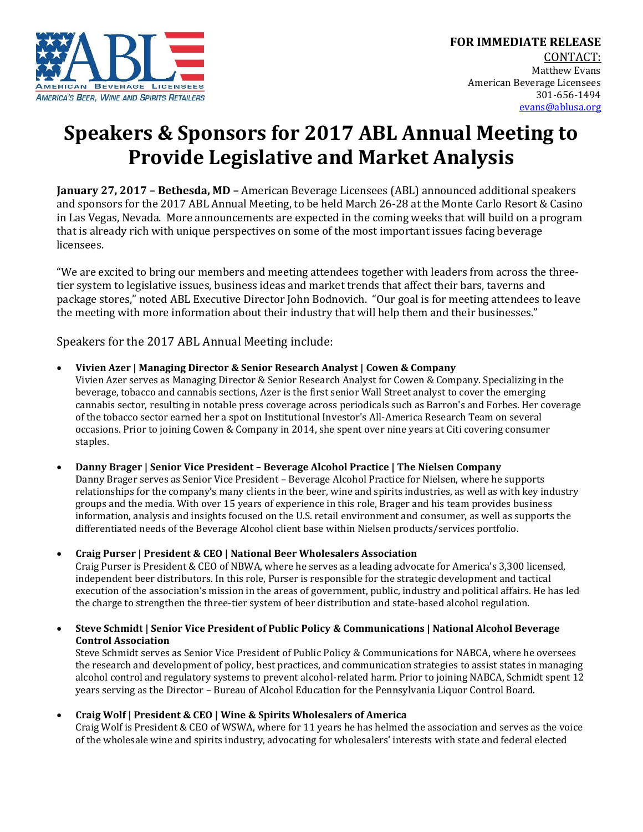

# **Speakers & Sponsors for 2017 ABL Annual Meeting to Provide Legislative and Market Analysis**

**January 27, 2017 – Bethesda, MD –** American Beverage Licensees (ABL) announced additional speakers and sponsors for the 2017 ABL Annual Meeting, to be held March 26-28 at the Monte Carlo Resort & Casino in Las Vegas, Nevada. More announcements are expected in the coming weeks that will build on a program that is already rich with unique perspectives on some of the most important issues facing beverage licensees.

"We are excited to bring our members and meeting attendees together with leaders from across the threetier system to legislative issues, business ideas and market trends that affect their bars, taverns and package stores," noted ABL Executive Director John Bodnovich. "Our goal is for meeting attendees to leave the meeting with more information about their industry that will help them and their businesses."

Speakers for the 2017 ABL Annual Meeting include:

**Vivien Azer | Managing Director & Senior Research Analyst | Cowen & Company**

Vivien Azer serves as Managing Director & Senior Research Analyst for Cowen & Company. Specializing in the beverage, tobacco and cannabis sections, Azer is the first senior Wall Street analyst to cover the emerging cannabis sector, resulting in notable press coverage across periodicals such as Barron's and Forbes. Her coverage of the tobacco sector earned her a spot on Institutional Investor's All-America Research Team on several occasions. Prior to joining Cowen & Company in 2014, she spent over nine years at Citi covering consumer staples.

 **Danny Brager | Senior Vice President – Beverage Alcohol Practice | The Nielsen Company**  Danny Brager serves as Senior Vice President – Beverage Alcohol Practice for Nielsen, where he supports relationships for the company's many clients in the beer, wine and spirits industries, as well as with key industry groups and the media. With over 15 years of experience in this role, Brager and his team provides business information, analysis and insights focused on the U.S. retail environment and consumer, as well as supports the differentiated needs of the Beverage Alcohol client base within Nielsen products/services portfolio.

**Craig Purser | President & CEO | National Beer Wholesalers Association**

Craig Purser is President & CEO of NBWA, where he serves as a leading advocate for America's 3,300 licensed, independent beer distributors. In this role, Purser is responsible for the strategic development and tactical execution of the association's mission in the areas of government, public, industry and political affairs. He has led the charge to strengthen the three-tier system of beer distribution and state-based alcohol regulation.

 **Steve Schmidt | Senior Vice President of Public Policy & Communications | National Alcohol Beverage Control Association**

Steve Schmidt serves as Senior Vice President of Public Policy & Communications for NABCA, where he oversees the research and development of policy, best practices, and communication strategies to assist states in managing alcohol control and regulatory systems to prevent alcohol-related harm. Prior to joining NABCA, Schmidt spent 12 years serving as the Director – Bureau of Alcohol Education for the Pennsylvania Liquor Control Board.

**Craig Wolf | President & CEO | Wine & Spirits Wholesalers of America**

Craig Wolf is President & CEO of WSWA, where for 11 years he has helmed the association and serves as the voice of the wholesale wine and spirits industry, advocating for wholesalers' interests with state and federal elected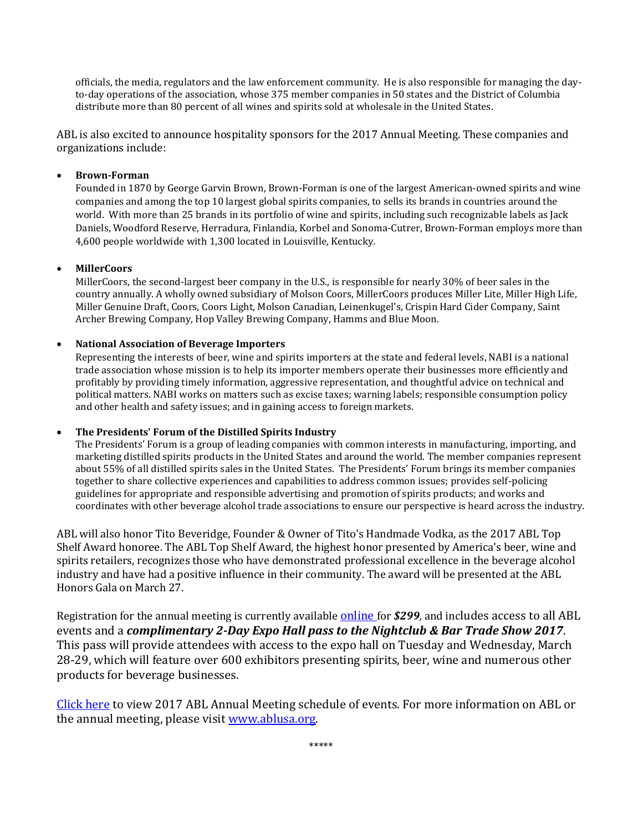officials, the media, regulators and the law enforcement community. He is also responsible for managing the dayto-day operations of the association, whose 375 member companies in 50 states and the District of Columbia distribute more than 80 percent of all wines and spirits sold at wholesale in the United States.

ABL is also excited to announce hospitality sponsors for the 2017 Annual Meeting. These companies and organizations include:

## **Brown-Forman**

Founded in 1870 by George Garvin Brown, Brown-Forman is one of the largest American-owned spirits and wine companies and among the top 10 largest global spirits companies, to sells its brands in countries around the world. With more than 25 brands in its portfolio of wine and spirits, including such recognizable labels as Jack Daniels, Woodford Reserve, Herradura, Finlandia, Korbel and Sonoma-Cutrer, Brown-Forman employs more than 4,600 people worldwide with 1,300 located in Louisville, Kentucky.

## **MillerCoors**

MillerCoors, the second-largest beer company in the U.S., is responsible for nearly 30% of beer sales in the country annually. A wholly owned subsidiary of Molson Coors, MillerCoors produces Miller Lite, Miller High Life, Miller Genuine Draft, Coors, Coors Light, Molson Canadian, Leinenkugel's, Crispin Hard Cider Company, Saint Archer Brewing Company, Hop Valley Brewing Company, Hamms and Blue Moon.

### **National Association of Beverage Importers**

Representing the interests of beer, wine and spirits importers at the state and federal levels, NABI is a national trade association whose mission is to help its importer members operate their businesses more efficiently and profitably by providing timely information, aggressive representation, and thoughtful advice on technical and political matters. NABI works on matters such as excise taxes; warning labels; responsible consumption policy and other health and safety issues; and in gaining access to foreign markets.

## **The Presidents' Forum of the Distilled Spirits Industry**

The Presidents' Forum is a group of leading companies with common interests in manufacturing, importing, and marketing distilled spirits products in the United States and around the world. The member companies represent about 55% of all distilled spirits sales in the United States. The Presidents' Forum brings its member companies together to share collective experiences and capabilities to address common issues; provides self-policing guidelines for appropriate and responsible advertising and promotion of spirits products; and works and coordinates with other beverage alcohol trade associations to ensure our perspective is heard across the industry.

ABL will also honor Tito Beveridge, Founder & Owner of Tito's Handmade Vodka, as the 2017 ABL Top Shelf Award honoree. The ABL Top Shelf Award, the highest honor presented by America's beer, wine and spirits retailers, recognizes those who have demonstrated professional excellence in the beverage alcohol industry and have had a positive influence in their community. The award will be presented at the ABL Honors Gala on March 27.

Registration for the annual meeting is currently available [online](http://www.cvent.com/events/2017-abl-annual-meeting/event-summary-6393bef2f807404cb4b6ac9cf96a21c0.aspx) for *\$299,* and includes access to all ABL events and a *complimentary 2-Day Expo Hall pass to the Nightclub & Bar Trade Show 2017*. This pass will provide attendees with access to the expo hall on Tuesday and Wednesday, March 28-29, which will feature over 600 exhibitors presenting spirits, beer, wine and numerous other products for beverage businesses.

[Click here](http://www.cvent.com/events/2017-abl-annual-meeting/agenda-6393bef2f807404cb4b6ac9cf96a21c0.aspx) to view 2017 ABL Annual Meeting schedule of events. For more information on ABL or the annual meeting, please visit [www.ablusa.org.](http://www.ablusa.org/)